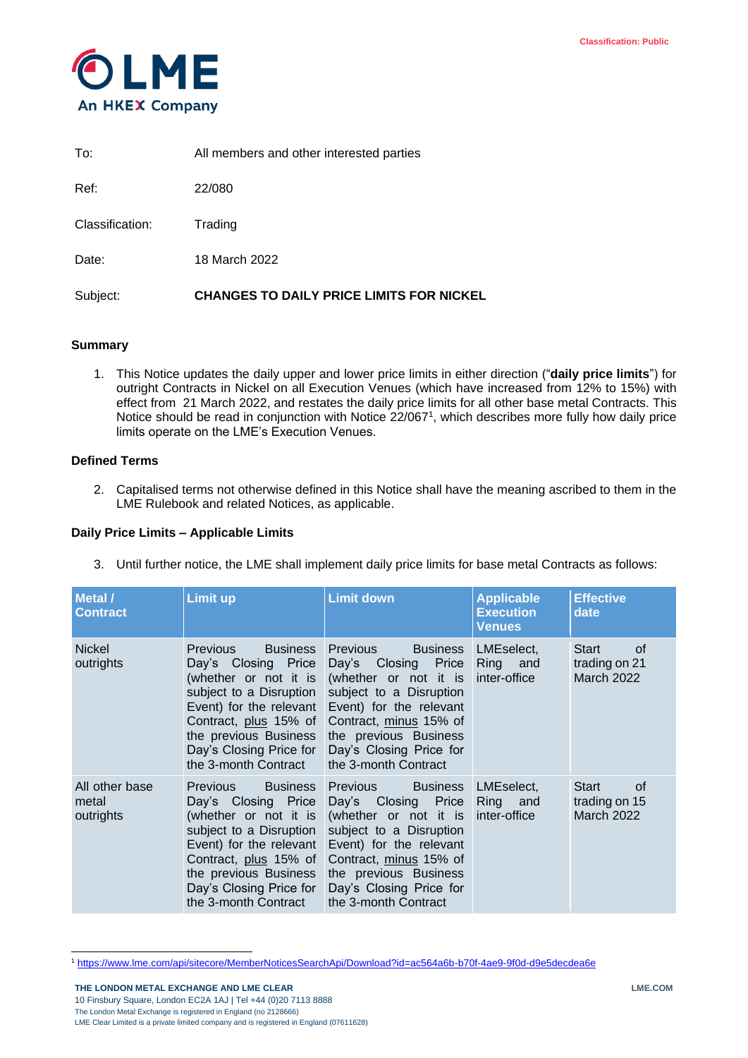

| Subject:        | <b>CHANGES TO DAILY PRICE LIMITS FOR NICKEL</b> |
|-----------------|-------------------------------------------------|
| Date:           | 18 March 2022                                   |
| Classification: | Trading                                         |
| Ref:            | 22/080                                          |
| To:             | All members and other interested parties        |

## **Summary**

1. This Notice updates the daily upper and lower price limits in either direction ("**daily price limits**") for outright Contracts in Nickel on all Execution Venues (which have increased from 12% to 15%) with effect from 21 March 2022, and restates the daily price limits for all other base metal Contracts. This Notice should be read in conjunction with Notice 22/067<sup>1</sup>, which describes more fully how daily price limits operate on the LME's Execution Venues.

# **Defined Terms**

2. Capitalised terms not otherwise defined in this Notice shall have the meaning ascribed to them in the LME Rulebook and related Notices, as applicable.

## **Daily Price Limits – Applicable Limits**

3. Until further notice, the LME shall implement daily price limits for base metal Contracts as follows:

| Metal /<br><b>Contract</b>           | Limit up                                                                                                                                                                                                                                      | <b>Limit down</b>                                                                                                                                                                                                                          | <b>Applicable</b><br><b>Execution</b><br><b>Venues</b> | <b>Effective</b><br>date                          |
|--------------------------------------|-----------------------------------------------------------------------------------------------------------------------------------------------------------------------------------------------------------------------------------------------|--------------------------------------------------------------------------------------------------------------------------------------------------------------------------------------------------------------------------------------------|--------------------------------------------------------|---------------------------------------------------|
| <b>Nickel</b><br>outrights           | <b>Previous</b><br><b>Business</b><br>Day's Closing Price<br>(whether or not it is<br>subject to a Disruption<br>Event) for the relevant<br>Contract, plus 15% of<br>the previous Business<br>Day's Closing Price for<br>the 3-month Contract | Previous<br><b>Business</b><br>Day's<br>Closing Price<br>(whether or not it is<br>subject to a Disruption<br>Event) for the relevant<br>Contract, minus 15% of<br>the previous Business<br>Day's Closing Price for<br>the 3-month Contract | LMEselect,<br>Ring and<br>inter-office                 | Start<br>0f<br>trading on 21<br><b>March 2022</b> |
| All other base<br>metal<br>outrights | <b>Previous</b><br><b>Business</b><br>Day's Closing Price<br>(whether or not it is<br>subject to a Disruption<br>Event) for the relevant<br>Contract, plus 15% of<br>the previous Business<br>Day's Closing Price for<br>the 3-month Contract | Previous Business<br>Day's Closing Price<br>(whether or not it is<br>subject to a Disruption<br>Event) for the relevant<br>Contract, minus 15% of<br>the previous Business<br>Day's Closing Price for<br>the 3-month Contract              | LMEselect.<br>Ring and<br>inter-office                 | Start<br>0f<br>trading on 15<br><b>March 2022</b> |

l <sup>1</sup> <https://www.lme.com/api/sitecore/MemberNoticesSearchApi/Download?id=ac564a6b-b70f-4ae9-9f0d-d9e5decdea6e>